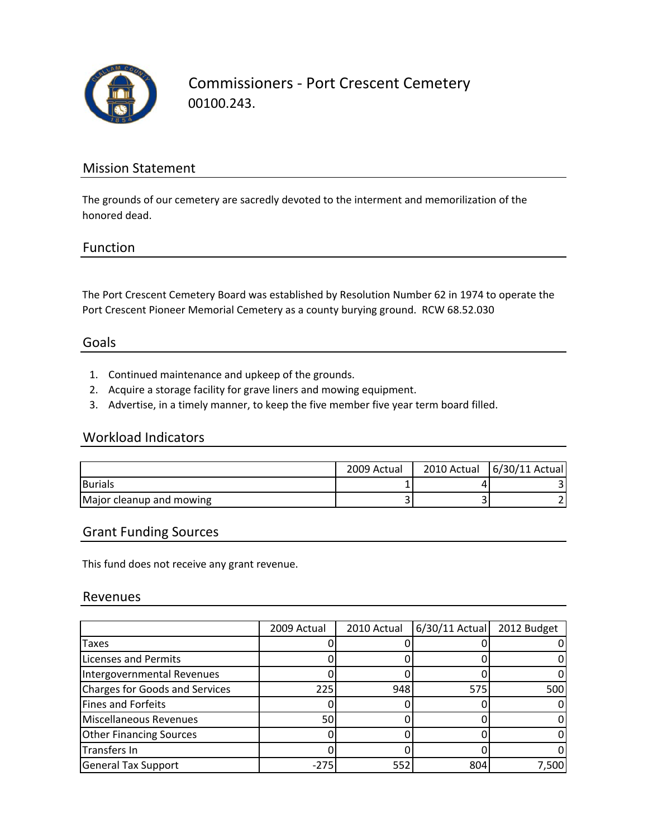

Commissioners ‐ Port Crescent Cemetery 00100.243.

### Mission Statement

The grounds of our cemetery are sacredly devoted to the interment and memorilization of the honored dead.

#### Function

The Port Crescent Cemetery Board was established by Resolution Number 62 in 1974 to operate the Port Crescent Pioneer Memorial Cemetery as a county burying ground. RCW 68.52.030

#### Goals

- 1. Continued maintenance and upkeep of the grounds.
- 2. Acquire a storage facility for grave liners and mowing equipment.
- 3. Advertise, in a timely manner, to keep the five member five year term board filled.

#### Workload Indicators

|                          | 2009 Actual | 2010 Actual   6/30/11 Actual |
|--------------------------|-------------|------------------------------|
| <b>Burials</b>           |             |                              |
| Major cleanup and mowing |             |                              |

#### Grant Funding Sources

This fund does not receive any grant revenue.

#### Revenues

|                                       | 2009 Actual | 2010 Actual | $6/30/11$ Actual | 2012 Budget |
|---------------------------------------|-------------|-------------|------------------|-------------|
| Taxes                                 |             |             |                  |             |
| <b>Licenses and Permits</b>           |             |             |                  |             |
| Intergovernmental Revenues            |             |             |                  |             |
| <b>Charges for Goods and Services</b> | 225         | 948         | 575              | 500         |
| Fines and Forfeits                    |             |             |                  |             |
| <b>Miscellaneous Revenues</b>         | 50          |             |                  |             |
| <b>Other Financing Sources</b>        |             |             |                  |             |
| Transfers In                          |             |             |                  |             |
| <b>General Tax Support</b>            | -275        | 552         | 804              | 7,500       |